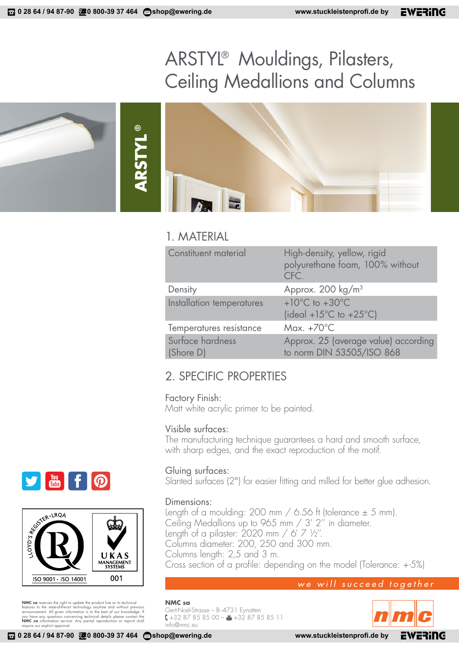# ARSTYL® Mouldings, Pilasters, Ceiling Medallions and Columns

**ARSTYL ®**

## 1. MATERIAL

| Constituent material          | High-density, yellow, rigid<br>polyurethane foam, 100% without<br>CFC.             |
|-------------------------------|------------------------------------------------------------------------------------|
| Density                       | Approx. 200 kg/m <sup>3</sup>                                                      |
| Installation temperatures     | $+10^{\circ}$ C to $+30^{\circ}$ C<br>(ideal +15 $^{\circ}$ C to +25 $^{\circ}$ C) |
| Temperatures resistance       | Max. $+70^{\circ}$ C                                                               |
| Surface hardness<br>(Shore D) | Approx. 25 (average value) according<br>to norm DIN 53505/ISO 868                  |

## 2. SPECIFIC PROPERTIES

### Factory Finish:

Matt white acrylic primer to be painted.

## Visible surfaces:

The manufacturing technique guarantees a hard and smooth surface, with sharp edges, and the exact reproduction of the motif.

## Gluing surfaces:

Slanted surfaces (2°) for easier fitting and milled for better glue adhesion.

### Dimensions:

Length of a moulding: 200 mm  $/$  6.56 ft (tolerance  $\pm$  5 mm). Ceiling Medallions up to 965 mm / 3' 2'' in diameter. Length of a pilaster: 2020 mm / 6' 7 ½''. Columns diameter: 200, 250 and 300 mm. Columns length: 2,5 and 3 m. Cross section of a profile: depending on the model (Tolerance: +-5%)

## we will succeed together

**NMC sa** Gert-Noël-Strasse – B-4731 Eynatten +32 87 85 85 00 – +32 87 85 85 11 info@nmc.eu







**NMC sa** reserves the right to update the product line or its technical features to the state-of-heart enchology anytime and without previous announcement. All given information is to the best of our knowledge. If you have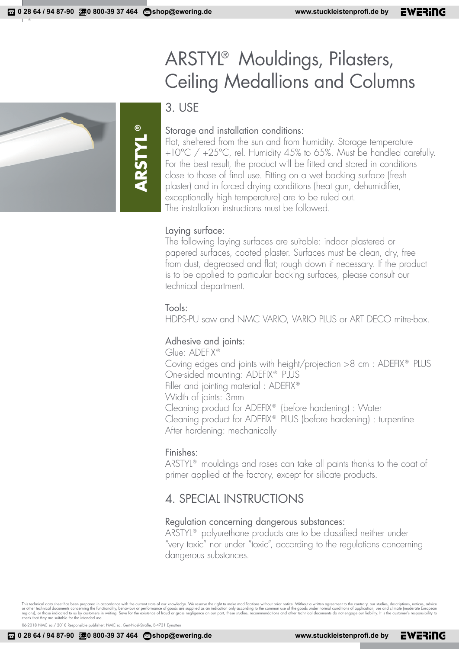# ARSTYL® Mouldings, Pilasters, Ceiling Medallions and Columns

3. USE

**ARSTYL**

**®**

## Storage and installation conditions:

Flat, sheltered from the sun and from humidity. Storage temperature +10°C / +25°C, rel. Humidity 45% to 65%. Must be handled carefully. For the best result, the product will be fitted and stored in conditions close to those of final use. Fitting on a wet backing surface (fresh plaster) and in forced drying conditions (heat gun, dehumidifier, exceptionally high temperature) are to be ruled out. The installation instructions must be followed.

## Laying surface:

The following laying surfaces are suitable: indoor plastered or papered surfaces, coated plaster. Surfaces must be clean, dry, free from dust, degreased and flat; rough down if necessary. If the product is to be applied to particular backing surfaces, please consult our technical department.

## Tools:

HDPS-PU saw and NMC VARIO, VARIO PLUS or ART DECO mitre-box.

## Adhesive and joints:

Glue: ADEFIX® Coving edges and joints with height/projection >8 cm : ADEFIX® PLUS One-sided mounting: ADEFIX® PLUS Filler and jointing material : ADEFIX® Width of joints: 3mm Cleaning product for ADEFIX® (before hardening) : Water Cleaning product for ADEFIX® PLUS (before hardening) : turpentine After hardening: mechanically

## Finishes:

ARSTYL® mouldings and roses can take all paints thanks to the coat of primer applied at the factory, except for silicate products.

## 4. SPECIAL INSTRUCTIONS

## Regulation concerning dangerous substances:

ARSTYL® polyurethane products are to be classified neither under "very toxic" nor under "toxic", according to the regulations concerning dangerous substances.

This technical data sheet has been prepared in accordance with the current state of our knowledge. We reserve the right to make modifications without prior notice. Without a written agreement to the contrary, our studies,

06-2018 NMC sa / 2018 Responsible publisher: NMC sa, Gert-Noël-Straße, B-4731 Eynatten